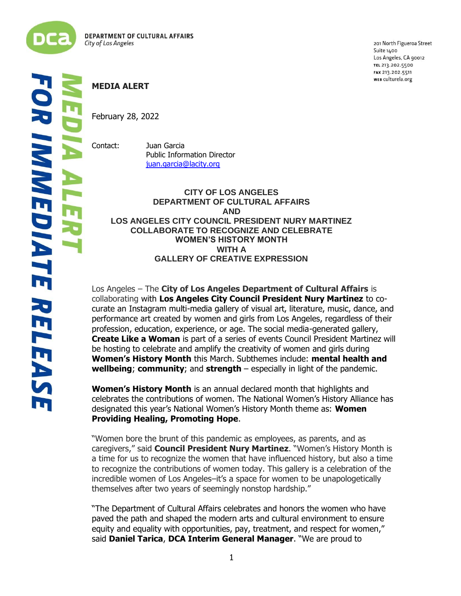

201 North Figueroa Street Suite 1400 Los Angeles, CA 90012 TEL 213.202.5500 FAX 213.202.5511 WEB culturela.org

## **MEDIA ALERT** February 28, 2022 į

Contact: Juan Garcia Public Information Director [juan.garcia@lacity.org](mailto:juan.garcia@lacity.org)

## **CITY OF LOS ANGELES DEPARTMENT OF CULTURAL AFFAIRS AND LOS ANGELES CITY COUNCIL PRESIDENT NURY MARTINEZ COLLABORATE TO RECOGNIZE AND CELEBRATE WOMEN'S HISTORY MONTH WITH A GALLERY OF CREATIVE EXPRESSION**

Los Angeles – The **City of Los Angeles Department of Cultural Affairs** is collaborating with **Los Angeles City Council President Nury Martinez** to cocurate an Instagram multi-media gallery of visual art, literature, music, dance, and performance art created by women and girls from Los Angeles, regardless of their profession, education, experience, or age. The social media-generated gallery, **Create Like a Woman** is part of a series of events Council President Martinez will be hosting to celebrate and amplify the creativity of women and girls during **Women's History Month** this March. Subthemes include: **mental health and wellbeing**; **community**; and **strength** – especially in light of the pandemic.

**Women's History Month** is an annual declared month that highlights and celebrates the contributions of women. The National Women's History Alliance has designated this year's National Women's History Month theme as: **Women Providing Healing, Promoting Hope**.

"Women bore the brunt of this pandemic as employees, as parents, and as caregivers," said **Council President Nury Martinez**. "Women's History Month is a time for us to recognize the women that have influenced history, but also a time to recognize the contributions of women today. This gallery is a celebration of the incredible women of Los Angeles–it's a space for women to be unapologetically themselves after two years of seemingly nonstop hardship."

"The Department of Cultural Affairs celebrates and honors the women who have paved the path and shaped the modern arts and cultural environment to ensure equity and equality with opportunities, pay, treatment, and respect for women," said **Daniel Tarica**, **DCA Interim General Manager**. "We are proud to